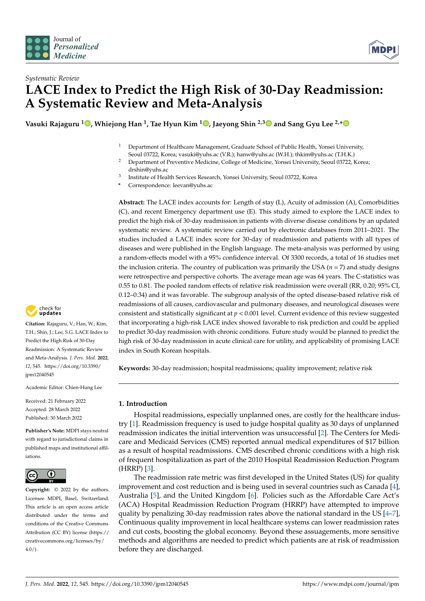



# *Systematic Review* **LACE Index to Predict the High Risk of 30-Day Readmission: A Systematic Review and Meta-Analysis**

**Vasuki Rajaguru <sup>1</sup> [,](https://orcid.org/0000-0003-2519-2814) Whiejong Han <sup>1</sup> , Tae Hyun Kim <sup>1</sup> [,](https://orcid.org/0000-0003-1053-8958) Jaeyong Shin 2,[3](https://orcid.org/0000-0002-2955-6382) and Sang Gyu Lee 2,[\\*](https://orcid.org/0000-0003-4847-2421)**

- <sup>1</sup> Department of Healthcare Management, Graduate School of Public Health, Yonsei University, Seoul 03722, Korea; vasuki@yuhs.ac (V.R.); hanw@yuhs.ac (W.H.); thkim@yuhs.ac (T.H.K.)
- <sup>2</sup> Department of Preventive Medicine, College of Medicine, Yonsei University, Seoul 03722, Korea; drshin@yuhs.ac
- 3 Institute of Health Services Research, Yonsei University, Seoul 03722, Korea
- **\*** Correspondence: leevan@yuhs.ac

**Abstract:** The LACE index accounts for: Length of stay (L), Acuity of admission (A), Comorbidities (C), and recent Emergency department use (E). This study aimed to explore the LACE index to predict the high risk of 30-day readmission in patients with diverse disease conditions by an updated systematic review. A systematic review carried out by electronic databases from 2011–2021. The studies included a LACE index score for 30-day of readmission and patients with all types of diseases and were published in the English language. The meta-analysis was performed by using a random-effects model with a 95% confidence interval. Of 3300 records, a total of 16 studies met the inclusion criteria. The country of publication was primarily the USA  $(n = 7)$  and study designs were retrospective and perspective cohorts. The average mean age was 64 years. The C-statistics was 0.55 to 0.81. The pooled random effects of relative risk readmission were overall (RR, 0.20; 95% CI, 0.12–0.34) and it was favorable. The subgroup analysis of the opted disease-based relative risk of readmissions of all causes, cardiovascular and pulmonary diseases, and neurological diseases were consistent and statistically significant at *p* < 0.001 level. Current evidence of this review suggested that incorporating a high-risk LACE index showed favorable to risk prediction and could be applied to predict 30-day readmission with chronic conditions. Future study would be planned to predict the high risk of 30-day readmission in acute clinical care for utility, and applicability of promising LACE index in South Korean hospitals.

**Keywords:** 30-day readmission; hospital readmissions; quality improvement; relative risk

## **1. Introduction**

Hospital readmissions, especially unplanned ones, are costly for the healthcare industry [\[1\]](#page-9-0). Readmission frequency is used to judge hospital quality as 30 days of unplanned readmission indicates the initial intervention was unsuccessful [\[2\]](#page-9-1). The Centers for Medicare and Medicaid Services (CMS) reported annual medical expenditures of \$17 billion as a result of hospital readmissions. CMS described chronic conditions with a high risk of frequent hospitalization as part of the 2010 Hospital Readmission Reduction Program (HRRP) [\[3\]](#page-9-2).

The readmission rate metric was first developed in the United States (US) for quality improvement and cost reduction and is being used in several countries such as Canada [\[4\]](#page-9-3), Australia [\[5\]](#page-9-4), and the United Kingdom [\[6\]](#page-9-5). Policies such as the Affordable Care Act's (ACA) Hospital Readmission Reduction Program (HRRP) have attempted to improve quality by penalizing 30-day readmission rates above the national standard in the US [\[4–](#page-9-3)[7\]](#page-9-6), Continuous quality improvement in local healthcare systems can lower readmission rates and cut costs, boosting the global economy. Beyond these assuagements, more sensitive methods and algorithms are needed to predict which patients are at risk of readmission before they are discharged.



**Citation:** Rajaguru, V.; Han, W.; Kim, T.H.; Shin, J.; Lee, S.G. LACE Index to Predict the High Risk of 30-Day Readmission: A Systematic Review and Meta-Analysis. *J. Pers. Med.* **2022**, *12*, 545. [https://doi.org/10.3390/](https://doi.org/10.3390/jpm12040545) [jpm12040545](https://doi.org/10.3390/jpm12040545)

Academic Editor: Chien-Hung Lee

Received: 21 February 2022 Accepted: 28 March 2022 Published: 30 March 2022

**Publisher's Note:** MDPI stays neutral with regard to jurisdictional claims in published maps and institutional affiliations.



**Copyright:** © 2022 by the authors. Licensee MDPI, Basel, Switzerland. This article is an open access article distributed under the terms and conditions of the Creative Commons Attribution (CC BY) license [\(https://](https://creativecommons.org/licenses/by/4.0/) [creativecommons.org/licenses/by/](https://creativecommons.org/licenses/by/4.0/)  $4.0/$ ).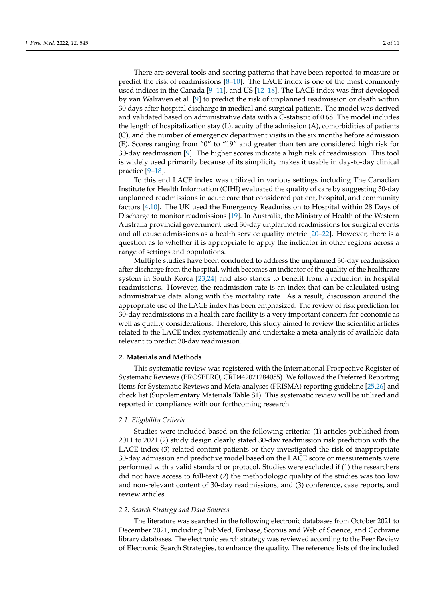There are several tools and scoring patterns that have been reported to measure or predict the risk of readmissions  $[8-10]$  $[8-10]$ . The LACE index is one of the most commonly used indices in the Canada [\[9–](#page-9-9)[11\]](#page-9-10), and US [\[12](#page-9-11)[–18\]](#page-10-0). The LACE index was first developed by van Walraven et al. [\[9\]](#page-9-9) to predict the risk of unplanned readmission or death within 30 days after hospital discharge in medical and surgical patients. The model was derived and validated based on administrative data with a C-statistic of 0.68. The model includes the length of hospitalization stay (L), acuity of the admission (A), comorbidities of patients (C), and the number of emergency department visits in the six months before admission (E). Scores ranging from "0" to "19" and greater than ten are considered high risk for 30-day readmission [\[9\]](#page-9-9). The higher scores indicate a high risk of readmission. This tool is widely used primarily because of its simplicity makes it usable in day-to-day clinical practice [\[9–](#page-9-9)[18\]](#page-10-0).

To this end LACE index was utilized in various settings including The Canadian Institute for Health Information (CIHI) evaluated the quality of care by suggesting 30-day unplanned readmissions in acute care that considered patient, hospital, and community factors [\[4](#page-9-3)[,10\]](#page-9-8). The UK used the Emergency Readmission to Hospital within 28 Days of Discharge to monitor readmissions [\[19\]](#page-10-1). In Australia, the Ministry of Health of the Western Australia provincial government used 30-day unplanned readmissions for surgical events and all cause admissions as a health service quality metric [\[20](#page-10-2)[–22\]](#page-10-3). However, there is a question as to whether it is appropriate to apply the indicator in other regions across a range of settings and populations.

Multiple studies have been conducted to address the unplanned 30-day readmission after discharge from the hospital, which becomes an indicator of the quality of the healthcare system in South Korea [\[23,](#page-10-4)[24\]](#page-10-5) and also stands to benefit from a reduction in hospital readmissions. However, the readmission rate is an index that can be calculated using administrative data along with the mortality rate. As a result, discussion around the appropriate use of the LACE index has been emphasized. The review of risk prediction for 30-day readmissions in a health care facility is a very important concern for economic as well as quality considerations. Therefore, this study aimed to review the scientific articles related to the LACE index systematically and undertake a meta-analysis of available data relevant to predict 30-day readmission.

#### **2. Materials and Methods**

This systematic review was registered with the International Prospective Register of Systematic Reviews (PROSPERO, CRD442021284055). We followed the Preferred Reporting Items for Systematic Reviews and Meta-analyses (PRISMA) reporting guideline [\[25,](#page-10-6)[26\]](#page-10-7) and check list (Supplementary Materials Table S1). This systematic review will be utilized and reported in compliance with our forthcoming research.

#### *2.1. Eligibility Criteria*

Studies were included based on the following criteria: (1) articles published from 2011 to 2021 (2) study design clearly stated 30-day readmission risk prediction with the LACE index (3) related content patients or they investigated the risk of inappropriate 30-day admission and predictive model based on the LACE score or measurements were performed with a valid standard or protocol. Studies were excluded if (1) the researchers did not have access to full-text (2) the methodologic quality of the studies was too low and non-relevant content of 30-day readmissions, and (3) conference, case reports, and review articles.

## *2.2. Search Strategy and Data Sources*

The literature was searched in the following electronic databases from October 2021 to December 2021, including PubMed, Embase, Scopus and Web of Science, and Cochrane library databases. The electronic search strategy was reviewed according to the Peer Review of Electronic Search Strategies, to enhance the quality. The reference lists of the included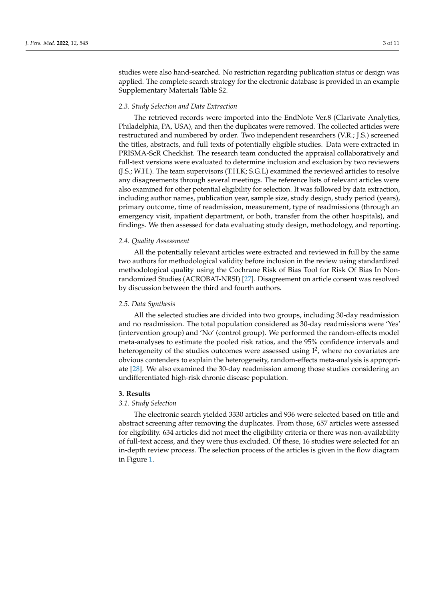studies were also hand-searched. No restriction regarding publication status or design was applied. The complete search strategy for the electronic database is provided in an example Supplementary Materials Table S2.

#### *2.3. Study Selection and Data Extraction*

The retrieved records were imported into the EndNote Ver.8 (Clarivate Analytics, Philadelphia, PA, USA), and then the duplicates were removed. The collected articles were restructured and numbered by order. Two independent researchers (V.R.; J.S.) screened the titles, abstracts, and full texts of potentially eligible studies. Data were extracted in PRISMA-ScR Checklist. The research team conducted the appraisal collaboratively and full-text versions were evaluated to determine inclusion and exclusion by two reviewers (J.S.; W.H.). The team supervisors (T.H.K; S.G.L) examined the reviewed articles to resolve any disagreements through several meetings. The reference lists of relevant articles were also examined for other potential eligibility for selection. It was followed by data extraction, including author names, publication year, sample size, study design, study period (years), primary outcome, time of readmission, measurement, type of readmissions (through an emergency visit, inpatient department, or both, transfer from the other hospitals), and findings. We then assessed for data evaluating study design, methodology, and reporting.

#### *2.4. Quality Assessment*

All the potentially relevant articles were extracted and reviewed in full by the same two authors for methodological validity before inclusion in the review using standardized methodological quality using the Cochrane Risk of Bias Tool for Risk Of Bias In Nonrandomized Studies (ACROBAT-NRSI) [\[27\]](#page-10-8). Disagreement on article consent was resolved by discussion between the third and fourth authors.

#### *2.5. Data Synthesis*

All the selected studies are divided into two groups, including 30-day readmission and no readmission. The total population considered as 30-day readmissions were 'Yes' (intervention group) and 'No' (control group). We performed the random-effects model meta-analyses to estimate the pooled risk ratios, and the 95% confidence intervals and heterogeneity of the studies outcomes were assessed using  $I^2$ , where no covariates are obvious contenders to explain the heterogeneity, random-effects meta-analysis is appropriate [\[28\]](#page-10-9). We also examined the 30-day readmission among those studies considering an undifferentiated high-risk chronic disease population.

#### **3. Results**

#### *3.1. Study Selection*

The electronic search yielded 3330 articles and 936 were selected based on title and abstract screening after removing the duplicates. From those, 657 articles were assessed for eligibility. 634 articles did not meet the eligibility criteria or there was non-availability of full-text access, and they were thus excluded. Of these, 16 studies were selected for an in-depth review process. The selection process of the articles is given in the flow diagram in Figure [1.](#page-3-0)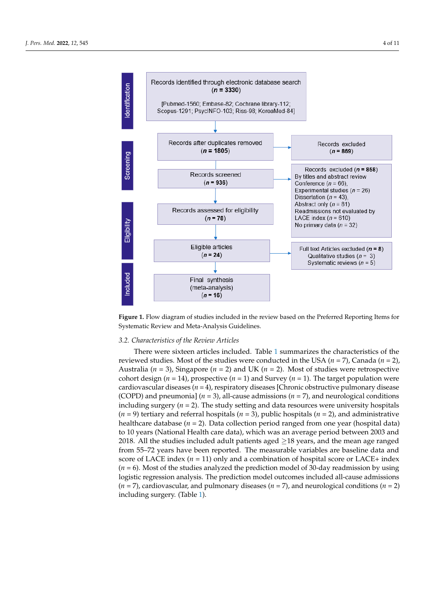<span id="page-3-0"></span>

**Figure 1.** Flow diagram of studies included in the review based on the Preferred Reporting Items **Figure 1.** Flow diagram of studies included in the review based on the Preferred Reporting Items for for Systematic Review and Meta-Analysis Guidelines. Systematic Review and Meta-Analysis Guidelines.

## *3.2. Characteristics of the Review Articles 3.2. Characteristics of the Review Articles*

 $T_{\text{tot}}$  articles included. Table 1 summarizes the characteristics of the characteristics of the characteristics of the characteristics of the characteristics of the characteristics of the characteristics of the characte reviewed studies. Most of the studies were conducted in the USA  $(n = 7)$ , Canada  $(n = 2)$ , Australia ( $n = 3$ ), Singapore ( $n = 2$ ) and UK ( $n = 2$ ). Most of studies were retrospective cohort design ( $n = 14$ ), prospective ( $n = 1$ ) and Survey ( $n = 1$ ). The target population were cardiovascular diseases (*n* = 4), respiratory diseases [Chronic obstructive pulmonary disease<br>Cardio (COPD) and pneumonia]  $(n = 3)$ , all-cause admissions  $(n = 7)$ , and neurological conditions including surgery  $(n = 2)$ . The study setting and data resources were university hospitals  $h = 9$ , public hospitals  $(h - 2)$ , public hospitals  $(h - 2)$ , and administrative healthcare database (*n* = 2). Data collection period ranged from one year (hospital data)<br>*h*ealthcare database (*n* = 2). Data collection period ranged from one year (hospital data) to 10 years (National Health care data), which was an average period between 2003 and<br>2010 . All the starting the data data is the starting of 210 2018. All the studies included adult patients aged  $\geq$ 18 years, and the mean age ranged from 55–72 years have been reported. The measurable variables are baseline data and score of LACE index (*n* = 11) only and a combination of hospital score or LACE+ index (*n*  $\sim$  0.14) or  $\sim$  11,  $\sim$  11,  $\sim$  6.28, 1 = 6). Most of the studies analyzed the prediction model of 30-day readmission by using (*n* = 6). Most of the studies analyzed the prediction model of 30-day readmission by using logistic regression analysis. The prediction model outcomes included all-cause admissions<br>( sions (*n* = 7), cardiovascular, and pulmonary diseases (*n* = 7), and neurological conditions (*n* = 7), cardiovascular, and pulmonary diseases (*n* = 7), and neurological conditions (*n* = 2) (*n* = 2) including surgery. (Table 1). including surgery. (Table [1\)](#page-4-0).There were sixteen articles included. Table [1](#page-4-0) summarizes the characteristics of the (*n* = 9) tertiary and referral hospitals (*n* = 3), public hospitals (*n* = 2), and administrative from 55–72 years have been reported. The measurable variables are baseline data and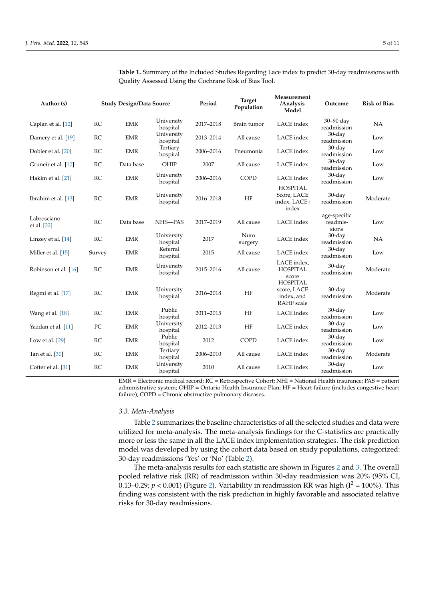| Author (s)                 |           | <b>Study Design/Data Source</b> |                        | Period    | <b>Target</b><br>Population | Measurement<br>/Analysis<br>Model                                 | Outcome                           | <b>Risk of Bias</b> |
|----------------------------|-----------|---------------------------------|------------------------|-----------|-----------------------------|-------------------------------------------------------------------|-----------------------------------|---------------------|
| Caplan et al. [12]         | RC        | <b>EMR</b>                      | University<br>hospital | 2017-2018 | Brain tumor                 | LACE index                                                        | $30 - 90$ day<br>readmission      | NA                  |
| Damery et al. [19]         | RC        | <b>EMR</b>                      | University<br>hospital | 2013-2014 | All cause                   | LACE index                                                        | $30$ -day<br>readmission          | Low                 |
| Dobler et al. [20]         | <b>RC</b> | <b>EMR</b>                      | Tertiary<br>hospital   | 2006-2016 | Pneumonia                   | LACE index                                                        | 30-day<br>readmission             | Low                 |
| Gruneir et al. [10]        | RC        | Data base                       | OHIP                   | 2007      | All cause                   | LACE index                                                        | $30$ -day<br>readmission          | Low                 |
| Hakim et al. [21]          | RC        | <b>EMR</b>                      | University<br>hospital | 2006-2016 | COPD                        | LACE index                                                        | 30-day<br>readmission             | Low                 |
| Ibrahim et al. [13]        | RC        | <b>EMR</b>                      | University<br>hospital | 2016-2018 | HF                          | <b>HOSPITAL</b><br>Score, LACE<br>index, LACE+<br>index           | $30$ -day<br>readmission          | Moderate            |
| Labrosciano<br>et al. [22] | RC        | Data base                       | NHS-PAS                | 2017-2019 | All cause                   | LACE index                                                        | age-specific<br>readmis-<br>sions | Low                 |
| Linzey et al. [14]         | <b>RC</b> | <b>EMR</b>                      | University<br>hospital | 2017      | Nuro<br>surgery             | LACE index                                                        | $30$ -day<br>readmission          | NA                  |
| Miller et al. [15]         | Survey    | <b>EMR</b>                      | Referral<br>hospital   | 2015      | All cause                   | LACE index                                                        | $30$ -day<br>readmission          | Low                 |
| Robinson et al. [16]       | RC        | <b>EMR</b>                      | University<br>hospital | 2015-2016 | All cause                   | LACE index.<br><b>HOSPITAL</b><br>score                           | $30$ -day<br>readmission          | Moderate            |
| Regmi et al. [17]          | <b>RC</b> | <b>EMR</b>                      | University<br>hospital | 2016-2018 | HF                          | <b>HOSPITAL</b><br>score, LACE<br>index, and<br><b>RAHF</b> scale | $30$ -day<br>readmission          | Moderate            |
| Wang et al. [18]           | RC        | <b>EMR</b>                      | Public<br>hospital     | 2011-2015 | HF                          | LACE index                                                        | $30$ -day<br>readmission          | Low                 |
| Yazdan et al. [11]         | PC        | <b>EMR</b>                      | University<br>hospital | 2012-2013 | HF                          | LACE index                                                        | $30$ -day<br>readmission          | Low                 |
| Low et al. $[29]$          | RC        | <b>EMR</b>                      | Public<br>hospital     | 2012      | <b>COPD</b>                 | LACE index                                                        | $30$ -day<br>readmission          | Low                 |
| Tan et al. [30]            | RC        | <b>EMR</b>                      | Tertiary<br>hospital   | 2006-2010 | All cause                   | LACE index                                                        | $30$ -day<br>readmission          | Moderate            |
| Cotter et al. [31]         | RC        | <b>EMR</b>                      | University<br>hospital | 2010      | All cause                   | LACE index                                                        | $30$ -day<br>readmission          | Low                 |

<span id="page-4-0"></span>**Table 1.** Summary of the Included Studies Regarding Lace index to predict 30-day readmissions with Quality Assessed Using the Cochrane Risk of Bias Tool.

EMR = Electronic medical record; RC = Retrospective Cohort; NHI = National Health insurance; PAS = patient administrative system; OHIP = Ontario Health Insurance Plan; HF = Heart failure (includes congestive heart failure); COPD = Chronic obstructive pulmonary diseases.

#### *3.3. Meta-Analysis*

Table [2](#page-5-0) summarizes the baseline characteristics of all the selected studies and data were utilized for meta-analysis. The meta-analysis findings for the C-statistics are practically more or less the same in all the LACE index implementation strategies. The risk prediction model was developed by using the cohort data based on study populations, categorized: 30-day readmissions 'Yes' or 'No' (Table [2\)](#page-5-0).

The meta-analysis results for each statistic are shown in Figures [2](#page-5-1) and [3.](#page-6-0) The overall pooled relative risk (RR) of readmission within 30-day readmission was 20% (95% CI, 0.13–0.29;  $p < 0.001$ ) (Figure [2\)](#page-5-1). Variability in readmission RR was high ( $I^2 = 100\%$ ). This finding was consistent with the risk prediction in highly favorable and associated relative risks for 30-day readmissions.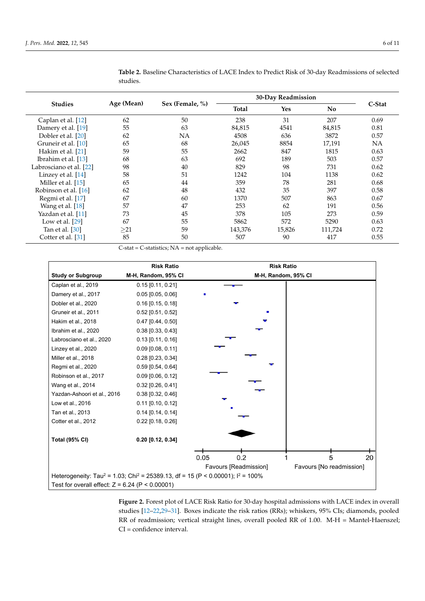|                         | Age (Mean) | Sex (Female, %) | 30-Day Readmission |        |         |           |
|-------------------------|------------|-----------------|--------------------|--------|---------|-----------|
| <b>Studies</b>          |            |                 | Total              | Yes    | No      | C-Stat    |
| Caplan et al. [12]      | 62         | 50              | 238                | 31     | 207     | 0.69      |
| Damery et al. [19]      | 55         | 63              | 84,815             | 4541   | 84,815  | 0.81      |
| Dobler et al. [20]      | 62         | NΑ              | 4508               | 636    | 3872    | 0.57      |
| Gruneir et al. [10]     | 65         | 68              | 26,045             | 8854   | 17,191  | <b>NA</b> |
| Hakim et al. [21]       | 59         | 55              | 2662               | 847    | 1815    | 0.63      |
| Ibrahim et al. [13]     | 68         | 63              | 692                | 189    | 503     | 0.57      |
| Labrosciano et al. [22] | 98         | 40              | 829                | 98     | 731     | 0.62      |
| Linzey et al. [14]      | 58         | 51              | 1242               | 104    | 1138    | 0.62      |
| Miller et al. [15]      | 65         | 44              | 359                | 78     | 281     | 0.68      |
| Robinson et al. [16]    | 62         | 48              | 432                | 35     | 397     | 0.58      |
| Regmi et al. [17]       | 67         | 60              | 1370               | 507    | 863     | 0.67      |
| Wang et al. [18]        | 57         | 47              | 253                | 62     | 191     | 0.56      |
| Yazdan et al. [11]      | 73         | 45              | 378                | 105    | 273     | 0.59      |
| Low et al. $[29]$       | 67         | 55              | 5862               | 572    | 5290    | 0.63      |
| Tan et al. [30]         | >21        | 59              | 143,376            | 15,826 | 111,724 | 0.72      |
| Cotter et al. [31]      | 85         | 50              | 507                | 90     | 417     | 0.55      |

<span id="page-5-0"></span>**Table 2.** Baseline Characteristics of LACE Index to Predict Risk of 30-day Readmissions of selected studies.

<span id="page-5-1"></span>C-stat = C-statistics; NA = not applicable.

|                                                   | <b>Risk Ratio</b>     | <b>Risk Ratio</b>                                                                                        |
|---------------------------------------------------|-----------------------|----------------------------------------------------------------------------------------------------------|
| <b>Study or Subgroup</b>                          | M-H, Random, 95% CI   | M-H, Random, 95% CI                                                                                      |
| Caplan et al., 2019                               | $0.15$ [0.11, 0.21]   |                                                                                                          |
| Damery et al., 2017                               | $0.05$ [0.05, 0.06]   |                                                                                                          |
| Dobler et al., 2020                               | $0.16$ [0.15, 0.18]   |                                                                                                          |
| Gruneir et al., 2011                              | $0.52$ [0.51, 0.52]   |                                                                                                          |
| Hakim et al., 2018                                | $0.47$ [0.44, 0.50]   |                                                                                                          |
| Ibrahim et al., 2020                              | $0.38$ [0.33, 0.43]   |                                                                                                          |
| Labrosciano et al., 2020                          | $0.13$ [0.11, 0.16]   |                                                                                                          |
| Linzey et al., 2020                               | $0.09$ $[0.08, 0.11]$ |                                                                                                          |
| Miller et al., 2018                               | $0.28$ [0.23, 0.34]   |                                                                                                          |
| Regmi et al., 2020                                | $0.59$ [0.54, 0.64]   |                                                                                                          |
| Robinson et al., 2017                             | $0.09$ [0.06, 0.12]   |                                                                                                          |
| Wang et al., 2014                                 | $0.32$ [0.26, 0.41]   |                                                                                                          |
| Yazdan-Ashoori et al., 2016                       | $0.38$ [0.32, 0.46]   |                                                                                                          |
| Low et al., 2016                                  | $0.11$ [0.10, 0.12]   |                                                                                                          |
| Tan et al., 2013                                  | $0.14$ [0.14, 0.14]   |                                                                                                          |
| Cotter et al., 2012                               | $0.22$ [0.18, 0.26]   |                                                                                                          |
| <b>Total (95% CI)</b>                             | $0.20$ [0.12, 0.34]   |                                                                                                          |
|                                                   |                       | 0.05<br>0.2<br>5<br>20                                                                                   |
|                                                   |                       |                                                                                                          |
|                                                   |                       | Favours [Readmission]<br>Favours [No readmission]                                                        |
|                                                   |                       | Heterogeneity: Tau <sup>2</sup> = 1.03; Chi <sup>2</sup> = 25389.13, df = 15 (P < 0.00001); $1^2$ = 100% |
| Test for overall effect: $Z = 6.24$ (P < 0.00001) |                       |                                                                                                          |

**Figure 2.** Forest plot of LACE Risk Ratio for 30-day hospital admissions with LACE index in overall studies [\[12–](#page-9-11)[22,](#page-10-3)[29](#page-10-13)[–31\]](#page-10-15). Boxes indicate the risk ratios (RRs); whiskers, 95% CIs; diamonds, pooled RR of readmission; vertical straight lines, overall pooled RR of 1.00. M-H = Mantel-Haenszel; CI = confidence interval.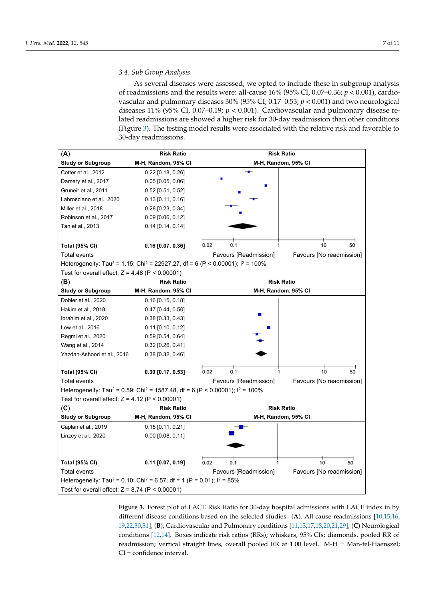As several diseases were assessed, we opted to include these in subgroup analysis of readmissions and the results were: all-cause 16% (95% CI, 0.07–0.36; *p* < 0.001), cardiovascular and pulmonary diseases 30% (95% CI, 0.17–0.53; *p* < 0.001) and two neurological diseases 11% (95% CI, 0.07–0.19; *p* < 0.001). Cardiovascular and pulmonary disease related readmissions are showed a higher risk for 30-day readmission than other conditions (Figure [3\)](#page-6-0). The testing model results were associated with the relative risk and favorable to 30-day readmissions.

<span id="page-6-0"></span>

| (A)                                                                                                     | <b>Risk Ratio</b>   | <b>Risk Ratio</b>   |                       |                          |  |  |  |
|---------------------------------------------------------------------------------------------------------|---------------------|---------------------|-----------------------|--------------------------|--|--|--|
| <b>Study or Subgroup</b>                                                                                | M-H, Random, 95% CI |                     |                       | M-H, Random, 95% CI      |  |  |  |
| Cotter et al., 2012                                                                                     | $0.22$ [0.18, 0.26] |                     |                       |                          |  |  |  |
| Damery et al., 2017                                                                                     | $0.05$ [0.05, 0.06] |                     |                       |                          |  |  |  |
| Gruneir et al., 2011                                                                                    | 0.52 [0.51, 0.52]   |                     |                       |                          |  |  |  |
| Labrosciano et al., 2020                                                                                | $0.13$ [0.11, 0.16] |                     |                       |                          |  |  |  |
| Miller et al., 2018                                                                                     | 0.28 [0.23, 0.34]   |                     |                       |                          |  |  |  |
| Robinson et al., 2017                                                                                   | $0.09$ [0.06, 0.12] |                     |                       |                          |  |  |  |
| Tan et al., 2013                                                                                        | $0.14$ [0.14, 0.14] |                     |                       |                          |  |  |  |
|                                                                                                         |                     |                     |                       |                          |  |  |  |
| <b>Total (95% CI)</b>                                                                                   | $0.16$ [0.07, 0.36] | 0.02                | 0.1                   | 10<br>50<br>1            |  |  |  |
| <b>Total events</b>                                                                                     |                     |                     | Favours [Readmission] | Favours [No readmission] |  |  |  |
| Heterogeneity: Tau <sup>2</sup> = 1.15; Chi <sup>2</sup> = 22927.27, df = 6 (P < 0.00001); $1^2$ = 100% |                     |                     |                       |                          |  |  |  |
| Test for overall effect: $Z = 4.48$ (P < 0.00001)                                                       |                     |                     |                       |                          |  |  |  |
| (B)                                                                                                     | <b>Risk Ratio</b>   |                     |                       | <b>Risk Ratio</b>        |  |  |  |
| <b>Study or Subgroup</b>                                                                                | M-H, Random, 95% CI | M-H, Random, 95% CI |                       |                          |  |  |  |
| Dobler et al., 2020                                                                                     | $0.16$ [0.15, 0.18] |                     |                       |                          |  |  |  |
| Hakim et al., 2018                                                                                      | $0.47$ [0.44, 0.50] |                     |                       |                          |  |  |  |
| Ibrahim et al., 2020                                                                                    | $0.38$ [0.33, 0.43] |                     |                       |                          |  |  |  |
| Low et al., 2016                                                                                        | $0.11$ [0.10, 0.12] |                     |                       |                          |  |  |  |
| Regmi et al., 2020                                                                                      | $0.59$ [0.54, 0.64] |                     |                       |                          |  |  |  |
| Wang et al., 2014                                                                                       | $0.32$ [0.26, 0.41] |                     |                       |                          |  |  |  |
| Yazdan-Ashoori et al., 2016                                                                             | $0.38$ [0.32, 0.46] |                     |                       |                          |  |  |  |
|                                                                                                         |                     |                     |                       |                          |  |  |  |
| <b>Total (95% CI)</b>                                                                                   | $0.30$ [0.17, 0.53] | 0.02                | 0.1                   | 10<br>50<br>1            |  |  |  |
| <b>Total events</b>                                                                                     |                     |                     | Favours [Readmission] | Favours [No readmission] |  |  |  |
| Heterogeneity: Tau <sup>2</sup> = 0.59; Chi <sup>2</sup> = 1587.48, df = 6 (P < 0.00001); $I^2$ = 100%  |                     |                     |                       |                          |  |  |  |
| Test for overall effect: $Z = 4.12$ (P < 0.00001)                                                       |                     |                     |                       |                          |  |  |  |
| (C)                                                                                                     | <b>Risk Ratio</b>   |                     |                       | <b>Risk Ratio</b>        |  |  |  |
| <b>Study or Subgroup</b>                                                                                | M-H, Random, 95% CI |                     |                       | M-H, Random, 95% CI      |  |  |  |
| Caplan et al., 2019                                                                                     | $0.15$ [0.11, 0.21] |                     |                       |                          |  |  |  |
| Linzey et al., 2020                                                                                     | $0.00$ [0.08, 0.11] |                     |                       |                          |  |  |  |
|                                                                                                         |                     |                     |                       |                          |  |  |  |
|                                                                                                         |                     |                     |                       |                          |  |  |  |
| <b>Total (95% CI)</b>                                                                                   | $0.11$ [0.07, 0.19] | 0.02                | 0.1                   | 10<br>50                 |  |  |  |
| Total events<br>Favours [Readmission]<br>Favours [No readmission]                                       |                     |                     |                       |                          |  |  |  |
| Heterogeneity: Tau <sup>2</sup> = 0.10; Chi <sup>2</sup> = 6.57, df = 1 (P = 0.01); $1^2$ = 85%         |                     |                     |                       |                          |  |  |  |
| Test for overall effect: $Z = 8.74$ (P < 0.00001)                                                       |                     |                     |                       |                          |  |  |  |

**Figure 3.** Forest plot of LACE Risk Ratio for 30-day hospital admissions with LACE index in by different disease conditions based on the selected studies. (**A**). All cause readmissions [\[10,](#page-9-8)[15](#page-9-14)[,16,](#page-10-11) [19](#page-10-1)[,22](#page-10-3)[,30](#page-10-14)[,31\]](#page-10-15), (**B**), Cardiovascular and Pulmonary conditions [\[11](#page-9-10)[,13,](#page-9-12)[17,](#page-10-12)[18](#page-10-0)[,20,](#page-10-2)[21,](#page-10-10)[29\]](#page-10-13); (**C**) Neurological conditions [\[12,](#page-9-11)[14\]](#page-9-13). Boxes indicate risk ratios (RRs); whiskers, 95% CIs; diamonds, pooled RR of readmission; vertical straight lines, overall pooled RR at 1.00 level. M-H = Man-tel-Haenszel; CI = confidence interval.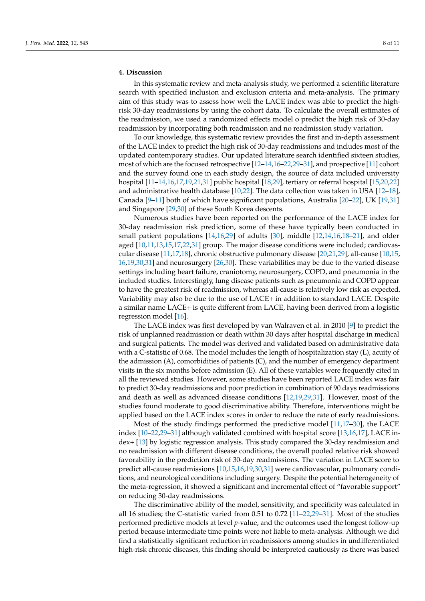## **4. Discussion**

In this systematic review and meta-analysis study, we performed a scientific literature search with specified inclusion and exclusion criteria and meta-analysis. The primary aim of this study was to assess how well the LACE index was able to predict the highrisk 30-day readmissions by using the cohort data. To calculate the overall estimates of the readmission, we used a randomized effects model o predict the high risk of 30-day readmission by incorporating both readmission and no readmission study variation.

To our knowledge, this systematic review provides the first and in-depth assessment of the LACE index to predict the high risk of 30-day readmissions and includes most of the updated contemporary studies. Our updated literature search identified sixteen studies, most of which are the focused retrospective [\[12–](#page-9-11)[14,](#page-9-13)[16–](#page-10-11)[22](#page-10-3)[,29](#page-10-13)[–31\]](#page-10-15), and prospective [\[11\]](#page-9-10) cohort and the survey found one in each study design, the source of data included university hospital [\[11–](#page-9-10)[14,](#page-9-13)[16,](#page-10-11)[17,](#page-10-12)[19](#page-10-1)[,21](#page-10-10)[,31\]](#page-10-15) public hospital [\[18,](#page-10-0)[29\]](#page-10-13), tertiary or referral hospital [\[15,](#page-9-14)[20,](#page-10-2)[22\]](#page-10-3) and administrative health database [\[10,](#page-9-8)[22\]](#page-10-3). The data collection was taken in USA [\[12–](#page-9-11)[18\]](#page-10-0), Canada  $[9-11]$  $[9-11]$  both of which have significant populations, Australia  $[20-22]$  $[20-22]$ , UK  $[19,31]$  $[19,31]$ and Singapore [\[29](#page-10-13)[,30\]](#page-10-14) of these South Korea descents.

Numerous studies have been reported on the performance of the LACE index for 30-day readmission risk prediction, some of these have typically been conducted in small patient populations [\[14](#page-9-13)[,16,](#page-10-11)[29\]](#page-10-13) of adults [\[30\]](#page-10-14), middle [\[12](#page-9-11)[,14](#page-9-13)[,16](#page-10-11)[,18](#page-10-0)[–21\]](#page-10-10), and older aged [\[10,](#page-9-8)[11](#page-9-10)[,13](#page-9-12)[,15](#page-9-14)[,17](#page-10-12)[,22](#page-10-3)[,31\]](#page-10-15) group. The major disease conditions were included; cardiovascular disease [\[11](#page-9-10)[,17,](#page-10-12)[18\]](#page-10-0), chronic obstructive pulmonary disease [\[20,](#page-10-2)[21,](#page-10-10)[29\]](#page-10-13), all-cause [\[10,](#page-9-8)[15,](#page-9-14) [16](#page-10-11)[,19](#page-10-1)[,30,](#page-10-14)[31\]](#page-10-15) and neurosurgery [\[26](#page-10-7)[,30\]](#page-10-14). These variabilities may be due to the varied disease settings including heart failure, craniotomy, neurosurgery, COPD, and pneumonia in the included studies. Interestingly, lung disease patients such as pneumonia and COPD appear to have the greatest risk of readmission, whereas all-cause is relatively low risk as expected. Variability may also be due to the use of LACE+ in addition to standard LACE. Despite a similar name LACE+ is quite different from LACE, having been derived from a logistic regression model [\[16\]](#page-10-11).

The LACE index was first developed by van Walraven et al. in 2010 [\[9\]](#page-9-9) to predict the risk of unplanned readmission or death within 30 days after hospital discharge in medical and surgical patients. The model was derived and validated based on administrative data with a C-statistic of 0.68. The model includes the length of hospitalization stay (L), acuity of the admission (A), comorbidities of patients (C), and the number of emergency department visits in the six months before admission (E). All of these variables were frequently cited in all the reviewed studies. However, some studies have been reported LACE index was fair to predict 30-day readmissions and poor prediction in combination of 90 days readmissions and death as well as advanced disease conditions [\[12](#page-9-11)[,19](#page-10-1)[,29](#page-10-13)[,31\]](#page-10-15). However, most of the studies found moderate to good discriminative ability. Therefore, interventions might be applied based on the LACE index scores in order to reduce the rate of early readmissions.

Most of the study findings performed the predictive model [\[11](#page-9-10)[,17–](#page-10-12)[30\]](#page-10-14), the LACE index [\[10–](#page-9-8)[22](#page-10-3)[,29](#page-10-13)[–31\]](#page-10-15) although validated combined with hospital score [\[13](#page-9-12)[,16,](#page-10-11)[17\]](#page-10-12), LACE index+ [\[13\]](#page-9-12) by logistic regression analysis. This study compared the 30-day readmission and no readmission with different disease conditions, the overall pooled relative risk showed favorability in the prediction risk of 30-day readmissions. The variation in LACE score to predict all-cause readmissions [\[10](#page-9-8)[,15](#page-9-14)[,16](#page-10-11)[,19](#page-10-1)[,30](#page-10-14)[,31\]](#page-10-15) were cardiovascular, pulmonary conditions, and neurological conditions including surgery. Despite the potential heterogeneity of the meta-regression, it showed a significant and incremental effect of "favorable support" on reducing 30-day readmissions.

The discriminative ability of the model, sensitivity, and specificity was calculated in all 16 studies; the C-statistic varied from 0.51 to 0.72 [\[11](#page-9-10)[–22](#page-10-3)[,29–](#page-10-13)[31\]](#page-10-15). Most of the studies performed predictive models at level *p*-value, and the outcomes used the longest follow-up period because intermediate time points were not liable to meta-analysis. Although we did find a statistically significant reduction in readmissions among studies in undifferentiated high-risk chronic diseases, this finding should be interpreted cautiously as there was based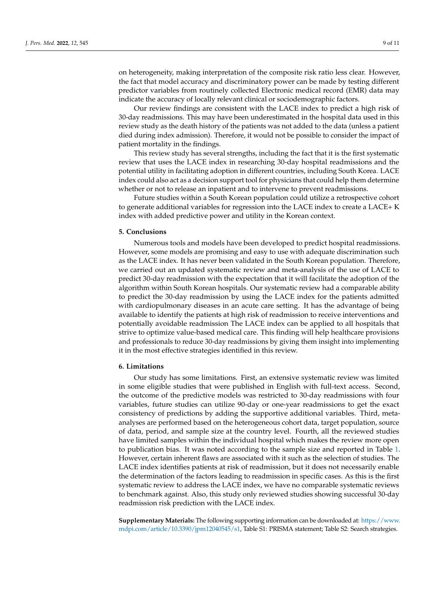on heterogeneity, making interpretation of the composite risk ratio less clear. However, the fact that model accuracy and discriminatory power can be made by testing different predictor variables from routinely collected Electronic medical record (EMR) data may indicate the accuracy of locally relevant clinical or sociodemographic factors.

Our review findings are consistent with the LACE index to predict a high risk of 30-day readmissions. This may have been underestimated in the hospital data used in this review study as the death history of the patients was not added to the data (unless a patient died during index admission). Therefore, it would not be possible to consider the impact of patient mortality in the findings.

This review study has several strengths, including the fact that it is the first systematic review that uses the LACE index in researching 30-day hospital readmissions and the potential utility in facilitating adoption in different countries, including South Korea. LACE index could also act as a decision support tool for physicians that could help them determine whether or not to release an inpatient and to intervene to prevent readmissions.

Future studies within a South Korean population could utilize a retrospective cohort to generate additional variables for regression into the LACE index to create a LACE+ K index with added predictive power and utility in the Korean context.

## **5. Conclusions**

Numerous tools and models have been developed to predict hospital readmissions. However, some models are promising and easy to use with adequate discrimination such as the LACE index. It has never been validated in the South Korean population. Therefore, we carried out an updated systematic review and meta-analysis of the use of LACE to predict 30-day readmission with the expectation that it will facilitate the adoption of the algorithm within South Korean hospitals. Our systematic review had a comparable ability to predict the 30-day readmission by using the LACE index for the patients admitted with cardiopulmonary diseases in an acute care setting. It has the advantage of being available to identify the patients at high risk of readmission to receive interventions and potentially avoidable readmission The LACE index can be applied to all hospitals that strive to optimize value-based medical care. This finding will help healthcare provisions and professionals to reduce 30-day readmissions by giving them insight into implementing it in the most effective strategies identified in this review.

#### **6. Limitations**

Our study has some limitations. First, an extensive systematic review was limited in some eligible studies that were published in English with full-text access. Second, the outcome of the predictive models was restricted to 30-day readmissions with four variables, future studies can utilize 90-day or one-year readmissions to get the exact consistency of predictions by adding the supportive additional variables. Third, metaanalyses are performed based on the heterogeneous cohort data, target population, source of data, period, and sample size at the country level. Fourth, all the reviewed studies have limited samples within the individual hospital which makes the review more open to publication bias. It was noted according to the sample size and reported in Table [1.](#page-4-0) However, certain inherent flaws are associated with it such as the selection of studies. The LACE index identifies patients at risk of readmission, but it does not necessarily enable the determination of the factors leading to readmission in specific cases. As this is the first systematic review to address the LACE index, we have no comparable systematic reviews to benchmark against. Also, this study only reviewed studies showing successful 30-day readmission risk prediction with the LACE index.

**Supplementary Materials:** The following supporting information can be downloaded at: [https://www.](https://www.mdpi.com/article/10.3390/jpm12040545/s1) [mdpi.com/article/10.3390/jpm12040545/s1,](https://www.mdpi.com/article/10.3390/jpm12040545/s1) Table S1: PRISMA statement; Table S2: Search strategies.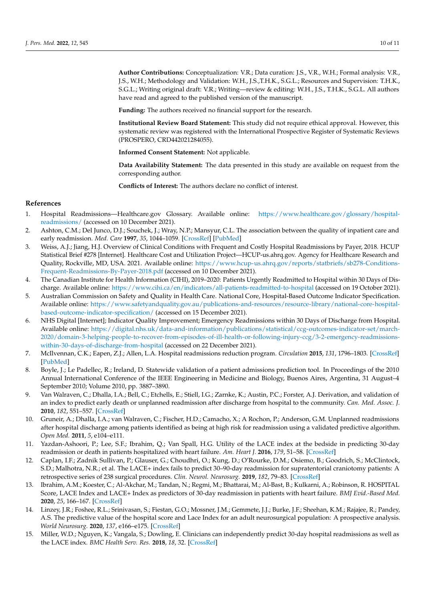**Author Contributions:** Conceptualization: V.R.; Data curation: J.S., V.R., W.H.; Formal analysis: V.R., J.S., W.H.; Methodology and Validation: W.H., J.S.,T.H.K., S.G.L.; Resources and Supervision: T.H.K., S.G.L.; Writing original draft: V.R.; Writing—review & editing: W.H., J.S., T.H.K., S.G.L. All authors have read and agreed to the published version of the manuscript.

**Funding:** The authors received no financial support for the research.

**Institutional Review Board Statement:** This study did not require ethical approval. However, this systematic review was registered with the International Prospective Register of Systematic Reviews (PROSPERO, CRD442021284055).

**Informed Consent Statement:** Not applicable.

**Data Availability Statement:** The data presented in this study are available on request from the corresponding author.

**Conflicts of Interest:** The authors declare no conflict of interest.

## **References**

- <span id="page-9-0"></span>1. Hospital Readmissions—Healthcare.gov Glossary. Available online: [https://www.healthcare.gov/glossary/hospital](https://www.healthcare.gov/glossary/hospital-readmissions/)[readmissions/](https://www.healthcare.gov/glossary/hospital-readmissions/) (accessed on 10 December 2021).
- <span id="page-9-1"></span>2. Ashton, C.M.; Del Junco, D.J.; Souchek, J.; Wray, N.P.; Mansyur, C.L. The association between the quality of inpatient care and early readmission. *Med. Care* **1997**, *35*, 1044–1059. [\[CrossRef\]](http://doi.org/10.1097/00005650-199710000-00006) [\[PubMed\]](http://www.ncbi.nlm.nih.gov/pubmed/9338530)
- <span id="page-9-2"></span>3. Weiss, A.J.; Jiang, H.J. Overview of Clinical Conditions with Frequent and Costly Hospital Readmissions by Payer, 2018. HCUP Statistical Brief #278 [Internet]. Healthcare Cost and Utilization Project—HCUP-us.ahrq.gov. Agency for Healthcare Research and Quality, Rockville, MD, USA. 2021. Available online: [https://www.hcup-us.ahrq.gov/reports/statbriefs/sb278-Conditions-](https://www.hcup-us.ahrq.gov/reports/statbriefs/sb278-Conditions-Frequent-Readmissions-By-Payer-2018.pdf)[Frequent-Readmissions-By-Payer-2018.pdf](https://www.hcup-us.ahrq.gov/reports/statbriefs/sb278-Conditions-Frequent-Readmissions-By-Payer-2018.pdf) (accessed on 10 December 2021).
- <span id="page-9-3"></span>4. The Canadian Institute for Health Information (CIHI), 2019–2020: Patients Urgently Readmitted to Hospital within 30 Days of Discharge. Available online: <https://www.cihi.ca/en/indicators/all-patients-readmitted-to-hospital> (accessed on 19 October 2021).
- <span id="page-9-4"></span>5. Australian Commission on Safety and Quality in Health Care. National Core, Hospital-Based Outcome Indicator Specification. Available online: [https://www.safetyandquality.gov.au/publications-and-resources/resource-library/national-core-hospital](https://www.safetyandquality.gov.au/publications-and-resources/resource-library/national-core-hospital-based-outcome-indicator-specification/)[based-outcome-indicator-specification/](https://www.safetyandquality.gov.au/publications-and-resources/resource-library/national-core-hospital-based-outcome-indicator-specification/) (accessed on 15 December 2021).
- <span id="page-9-5"></span>6. NHS Digital [Internet]; Indicator Quality Improvement; Emergency Readmissions within 30 Days of Discharge from Hospital. Available online: [https://digital.nhs.uk/data-and-information/publications/statistical/ccg-outcomes-indicator-set/march-](https://digital.nhs.uk/data-and-information/publications/statistical/ccg-outcomes-indicator-set/march-2020/domain-3-helping-people-to-recover-from-episodes-of-ill-health-or-following-injury-ccg/3-2-emergency-readmissions-within-30-days-of-discharge-from-hospital)[2020/domain-3-helping-people-to-recover-from-episodes-of-ill-health-or-following-injury-ccg/3-2-emergency-readmissions](https://digital.nhs.uk/data-and-information/publications/statistical/ccg-outcomes-indicator-set/march-2020/domain-3-helping-people-to-recover-from-episodes-of-ill-health-or-following-injury-ccg/3-2-emergency-readmissions-within-30-days-of-discharge-from-hospital)[within-30-days-of-discharge-from-hospital](https://digital.nhs.uk/data-and-information/publications/statistical/ccg-outcomes-indicator-set/march-2020/domain-3-helping-people-to-recover-from-episodes-of-ill-health-or-following-injury-ccg/3-2-emergency-readmissions-within-30-days-of-discharge-from-hospital) (accessed on 22 December 2021).
- <span id="page-9-6"></span>7. McIlvennan, C.K.; Eapen, Z.J.; Allen, L.A. Hospital readmissions reduction program. *Circulation* **2015**, *131*, 1796–1803. [\[CrossRef\]](http://doi.org/10.1161/CIRCULATIONAHA.114.010270) [\[PubMed\]](http://www.ncbi.nlm.nih.gov/pubmed/25986448)
- <span id="page-9-7"></span>8. Boyle, J.; Le Padellec, R.; Ireland, D. Statewide validation of a patient admissions prediction tool. In Proceedings of the 2010 Annual International Conference of the IEEE Engineering in Medicine and Biology, Buenos Aires, Argentina, 31 August–4 September 2010; Volume 2010, pp. 3887–3890.
- <span id="page-9-9"></span>9. Van Walraven, C.; Dhalla, I.A.; Bell, C.; Etchells, E.; Stiell, I.G.; Zarnke, K.; Austin, P.C.; Forster, A.J. Derivation, and validation of an index to predict early death or unplanned readmission after discharge from hospital to the community. *Can. Med. Assoc. J.* **2010**, *182*, 551–557. [\[CrossRef\]](http://doi.org/10.1503/cmaj.091117)
- <span id="page-9-8"></span>10. Gruneir, A.; Dhalla, I.A.; van Walraven, C.; Fischer, H.D.; Camacho, X.; A Rochon, P.; Anderson, G.M. Unplanned readmissions after hospital discharge among patients identified as being at high risk for readmission using a validated predictive algorithm. *Open Med.* **2011**, *5*, e104–e111.
- <span id="page-9-10"></span>11. Yazdan-Ashoori, P.; Lee, S.F.; Ibrahim, Q.; Van Spall, H.G. Utility of the LACE index at the bedside in predicting 30-day readmission or death in patients hospitalized with heart failure. *Am. Heart J.* **2016**, *179*, 51–58. [\[CrossRef\]](http://doi.org/10.1016/j.ahj.2016.06.007)
- <span id="page-9-11"></span>12. Caplan, I.F.; Zadnik Sullivan, P.; Glauser, G.; Choudhri, O.; Kung, D.; O'Rourke, D.M.; Osiemo, B.; Goodrich, S.; McClintock, S.D.; Malhotra, N.R.; et al. The LACE+ index fails to predict 30–90-day readmission for supratentorial craniotomy patients: A retrospective series of 238 surgical procedures. *Clin. Neurol. Neurosurg.* **2019**, *182*, 79–83. [\[CrossRef\]](http://doi.org/10.1016/j.clineuro.2019.04.026)
- <span id="page-9-12"></span>13. Ibrahim, A.M.; Koester, C.; Al-Akchar, M.; Tandan, N.; Regmi, M.; Bhattarai, M.; Al-Bast, B.; Kulkarni, A.; Robinson, R. HOSPITAL Score, LACE Index and LACE+ Index as predictors of 30-day readmission in patients with heart failure. *BMJ Evid.-Based Med.* **2020**, *25*, 166–167. [\[CrossRef\]](http://doi.org/10.1136/bmjebm-2019-111271)
- <span id="page-9-13"></span>14. Linzey, J.R.; Foshee, R.L.; Srinivasan, S.; Fiestan, G.O.; Mossner, J.M.; Gemmete, J.J.; Burke, J.F.; Sheehan, K.M.; Rajajee, R.; Pandey, A.S. The predictive value of the hospital score and Lace Index for an adult neurosurgical population: A prospective analysis. *World Neurosurg.* **2020**, *137*, e166–e175. [\[CrossRef\]](http://doi.org/10.1016/j.wneu.2020.01.117)
- <span id="page-9-14"></span>15. Miller, W.D.; Nguyen, K.; Vangala, S.; Dowling, E. Clinicians can independently predict 30-day hospital readmissions as well as the LACE index. *BMC Health Serv. Res.* **2018**, *18*, 32. [\[CrossRef\]](http://doi.org/10.1186/s12913-018-2833-3)